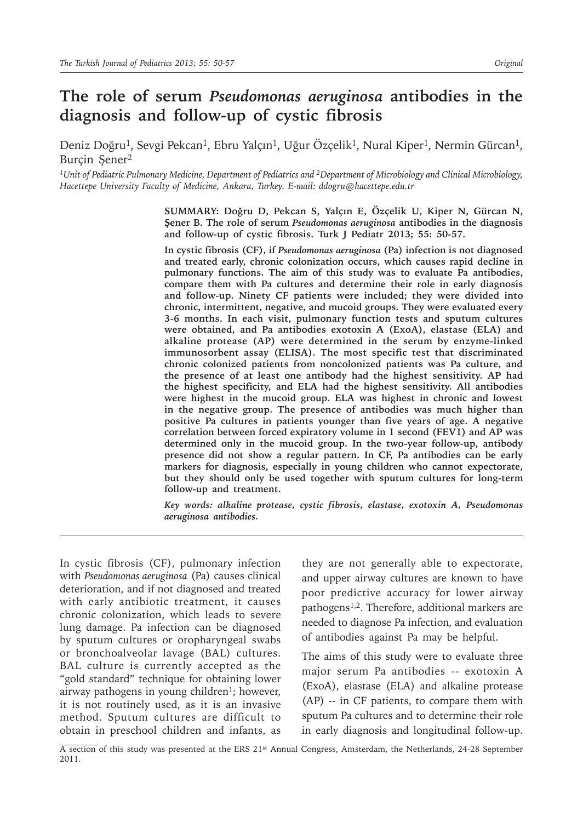# **The role of serum** *Pseudomonas aeruginosa* **antibodies in the diagnosis and follow-up of cystic fibrosis**

Deniz Doğru<sup>1</sup>, Sevgi Pekcan<sup>1</sup>, Ebru Yalçın<sup>1</sup>, Uğur Özçelik<sup>1</sup>, Nural Kiper<sup>1</sup>, Nermin Gürcan<sup>1</sup>, Burçin Şener<sup>2</sup>

*1Unit of Pediatric Pulmonary Medicine, Department of Pediatrics and 2Department of Microbiology and Clinical Microbiology, Hacettepe University Faculty of Medicine, Ankara, Turkey. E-mail: ddogru@hacettepe.edu.tr*

> **SUMMARY: Doğru D, Pekcan S, Yalçın E, Özçelik U, Kiper N, Gürcan N, Şener B. The role of serum** *Pseudomonas aeruginosa* **antibodies in the diagnosis and follow-up of cystic fibrosis. Turk J Pediatr 2013; 55: 50-57.**

> **In cystic fibrosis (CF), if** *Pseudomonas aeruginosa* **(Pa) infection is not diagnosed and treated early, chronic colonization occurs, which causes rapid decline in pulmonary functions. The aim of this study was to evaluate Pa antibodies, compare them with Pa cultures and determine their role in early diagnosis and follow-up. Ninety CF patients were included; they were divided into chronic, intermittent, negative, and mucoid groups. They were evaluated every 3-6 months. In each visit, pulmonary function tests and sputum cultures were obtained, and Pa antibodies exotoxin A (ExoA), elastase (ELA) and alkaline protease (AP) were determined in the serum by enzyme-linked immunosorbent assay (ELISA). The most specific test that discriminated chronic colonized patients from noncolonized patients was Pa culture, and the presence of at least one antibody had the highest sensitivity. AP had the highest specificity, and ELA had the highest sensitivity. All antibodies were highest in the mucoid group. ELA was highest in chronic and lowest in the negative group. The presence of antibodies was much higher than positive Pa cultures in patients younger than five years of age. A negative correlation between forced expiratory volume in 1 second (FEV1) and AP was determined only in the mucoid group. In the two-year follow-up, antibody presence did not show a regular pattern. In CF, Pa antibodies can be early markers for diagnosis, especially in young children who cannot expectorate, but they should only be used together with sputum cultures for long-term follow-up and treatment.**

> *Key words: alkaline protease, cystic fibrosis, elastase, exotoxin A, Pseudomonas aeruginosa antibodies.*

In cystic fibrosis (CF), pulmonary infection with *Pseudomonas aeruginosa* (Pa) causes clinical deterioration, and if not diagnosed and treated with early antibiotic treatment, it causes chronic colonization, which leads to severe lung damage. Pa infection can be diagnosed by sputum cultures or oropharyngeal swabs or bronchoalveolar lavage (BAL) cultures. BAL culture is currently accepted as the "gold standard" technique for obtaining lower airway pathogens in young children<sup>1</sup>; however, it is not routinely used, as it is an invasive method. Sputum cultures are difficult to obtain in preschool children and infants, as

they are not generally able to expectorate, and upper airway cultures are known to have poor predictive accuracy for lower airway pathogens1,2. Therefore, additional markers are needed to diagnose Pa infection, and evaluation of antibodies against Pa may be helpful.

The aims of this study were to evaluate three major serum Pa antibodies -- exotoxin A (ExoA), elastase (ELA) and alkaline protease (AP) -- in CF patients, to compare them with sputum Pa cultures and to determine their role in early diagnosis and longitudinal follow-up.

A section of this study was presented at the ERS 21<sup>st</sup> Annual Congress, Amsterdam, the Netherlands, 24-28 September 2011.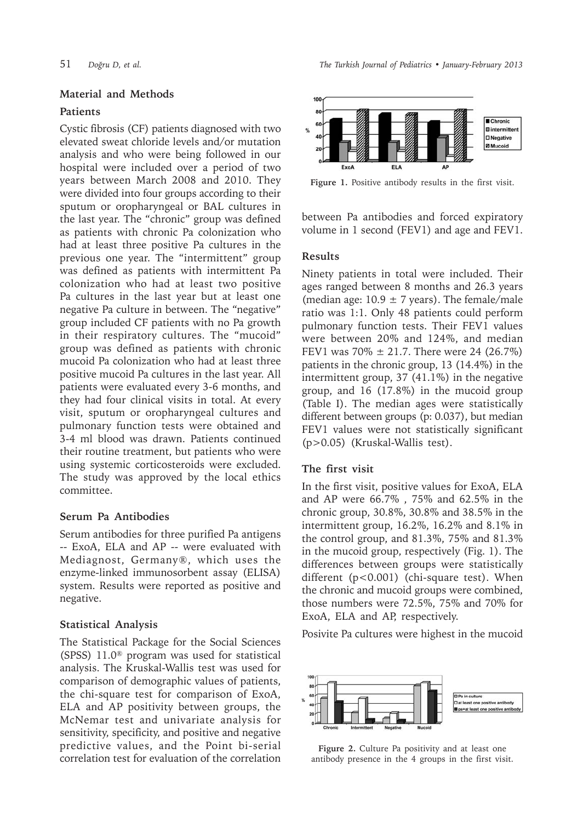# **Material and Methods**

### **Patients**

Cystic fibrosis (CF) patients diagnosed with two elevated sweat chloride levels and/or mutation analysis and who were being followed in our hospital were included over a period of two years between March 2008 and 2010. They were divided into four groups according to their sputum or oropharyngeal or BAL cultures in the last year. The "chronic" group was defined as patients with chronic Pa colonization who had at least three positive Pa cultures in the previous one year. The "intermittent" group was defined as patients with intermittent Pa colonization who had at least two positive Pa cultures in the last year but at least one negative Pa culture in between. The "negative" group included CF patients with no Pa growth in their respiratory cultures. The "mucoid" group was defined as patients with chronic mucoid Pa colonization who had at least three positive mucoid Pa cultures in the last year. All patients were evaluated every 3-6 months, and they had four clinical visits in total. At every visit, sputum or oropharyngeal cultures and pulmonary function tests were obtained and 3-4 ml blood was drawn. Patients continued their routine treatment, but patients who were using systemic corticosteroids were excluded. The study was approved by the local ethics committee.

## **Serum Pa Antibodies**

Serum antibodies for three purified Pa antigens -- ExoA, ELA and AP -- were evaluated with Mediagnost, Germany®, which uses the enzyme-linked immunosorbent assay (ELISA) system. Results were reported as positive and negative.

#### **Statistical Analysis**

The Statistical Package for the Social Sciences (SPSS) 11.0® program was used for statistical analysis. The Kruskal-Wallis test was used for comparison of demographic values of patients, the chi-square test for comparison of ExoA, ELA and AP positivity between groups, the McNemar test and univariate analysis for sensitivity, specificity, and positive and negative predictive values, and the Point bi-serial correlation test for evaluation of the correlation



**Figure 1.** Positive antibody results in the first visit.

between Pa antibodies and forced expiratory volume in 1 second (FEV1) and age and FEV1.

#### **Results**

Ninety patients in total were included. Their ages ranged between 8 months and 26.3 years (median age:  $10.9 \pm 7$  years). The female/male ratio was 1:1. Only 48 patients could perform pulmonary function tests. Their FEV1 values were between 20% and 124%, and median FEV1 was  $70\% \pm 21.7$ . There were 24 (26.7%) patients in the chronic group, 13 (14.4%) in the intermittent group, 37 (41.1%) in the negative group, and 16 (17.8%) in the mucoid group (Table I). The median ages were statistically different between groups (p: 0.037), but median FEV1 values were not statistically significant (p>0.05) (Kruskal-Wallis test).

### **The first visit**

In the first visit, positive values for ExoA, ELA and AP were 66.7% , 75% and 62.5% in the chronic group, 30.8%, 30.8% and 38.5% in the intermittent group, 16.2%, 16.2% and 8.1% in the control group, and 81.3%, 75% and 81.3% in the mucoid group, respectively (Fig. 1). The differences between groups were statistically different (p<0.001) (chi-square test). When the chronic and mucoid groups were combined, those numbers were 72.5%, 75% and 70% for ExoA, ELA and AP, respectively.

Posivite Pa cultures were highest in the mucoid



**Figure 2.** Culture Pa positivity and at least one antibody presence in the 4 groups in the first visit.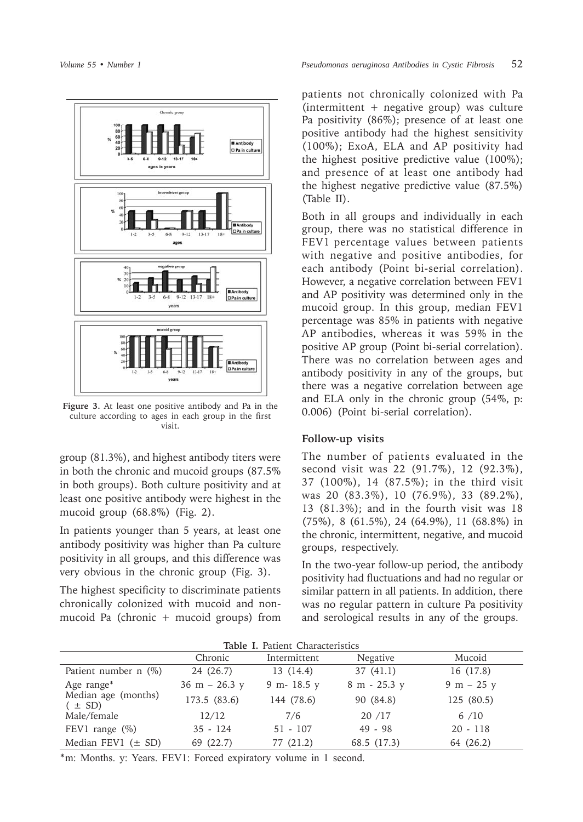

**Figure 3.** At least one positive antibody and Pa in the culture according to ages in each group in the first visit.

group (81.3%), and highest antibody titers were in both the chronic and mucoid groups (87.5% in both groups). Both culture positivity and at least one positive antibody were highest in the mucoid group (68.8%) (Fig. 2).

In patients younger than 5 years, at least one antibody positivity was higher than Pa culture positivity in all groups, and this difference was very obvious in the chronic group (Fig. 3).

The highest specificity to discriminate patients chronically colonized with mucoid and nonmucoid Pa (chronic + mucoid groups) from

patients not chronically colonized with Pa (intermittent + negative group) was culture Pa positivity (86%); presence of at least one positive antibody had the highest sensitivity (100%); ExoA, ELA and AP positivity had the highest positive predictive value (100%); and presence of at least one antibody had the highest negative predictive value (87.5%) (Table II).

Both in all groups and individually in each group, there was no statistical difference in FEV1 percentage values between patients with negative and positive antibodies, for each antibody (Point bi-serial correlation). However, a negative correlation between FEV1 and AP positivity was determined only in the mucoid group. In this group, median FEV1 percentage was 85% in patients with negative AP antibodies, whereas it was 59% in the positive AP group (Point bi-serial correlation). There was no correlation between ages and antibody positivity in any of the groups, but there was a negative correlation between age and ELA only in the chronic group (54%, p: 0.006) (Point bi-serial correlation).

### **Follow-up visits**

The number of patients evaluated in the second visit was 22 (91.7%), 12 (92.3%), 37 (100%), 14 (87.5%); in the third visit was 20 (83.3%), 10 (76.9%), 33 (89.2%), 13 (81.3%); and in the fourth visit was 18 (75%), 8 (61.5%), 24 (64.9%), 11 (68.8%) in the chronic, intermittent, negative, and mucoid groups, respectively.

In the two-year follow-up period, the antibody positivity had fluctuations and had no regular or similar pattern in all patients. In addition, there was no regular pattern in culture Pa positivity and serological results in any of the groups.

| Table T. Patient Unaracteristics  |                 |              |              |              |  |  |  |  |  |
|-----------------------------------|-----------------|--------------|--------------|--------------|--|--|--|--|--|
|                                   | Chronic         | Intermittent | Negative     | Mucoid       |  |  |  |  |  |
| Patient number $n$ (%)            | 24 (26.7)       | 13 (14.4)    | 37(41.1)     | 16 (17.8)    |  |  |  |  |  |
| Age range*                        | $36 m - 26.3 y$ | 9 m- 18.5 y  | 8 m - 25.3 y | $9 m - 25 y$ |  |  |  |  |  |
| Median age (months)<br>$(\pm SD)$ | 173.5(83.6)     | 144 (78.6)   | 90 (84.8)    | 125(80.5)    |  |  |  |  |  |
| Male/female                       | 12/12           | 7/6          | 20/17        | 6/10         |  |  |  |  |  |
| FEV1 range $(\%)$                 | $35 - 124$      | $51 - 107$   | $49 - 98$    | $20 - 118$   |  |  |  |  |  |
| Median FEV1 $(\pm$ SD)            | 69 (22.7)       | 77 (21.2)    | 68.5 (17.3)  | 64 (26.2)    |  |  |  |  |  |

**Table I.** Patient Characteristics

**\***m: Months. y: Years. FEV1: Forced expiratory volume in 1 second.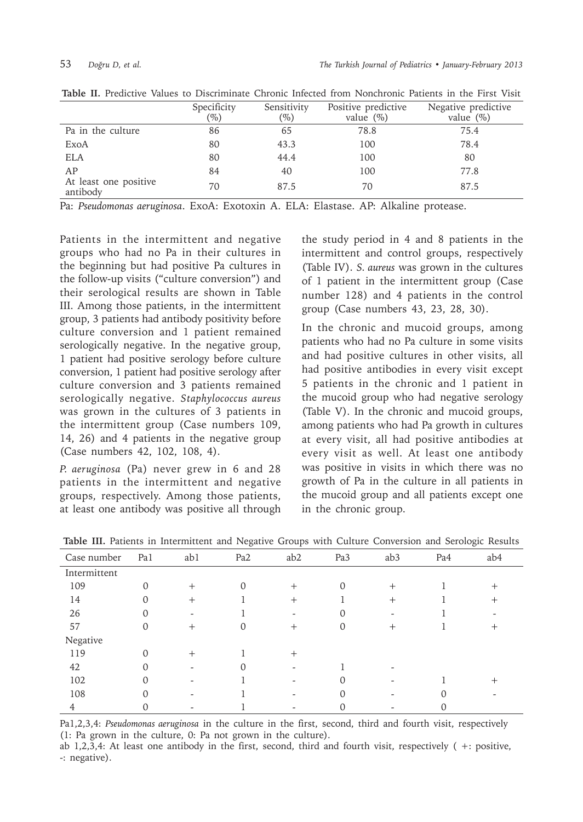|                                   | Specificity<br>$(\%)$ | Sensitivity<br>$(\%)$ | Positive predictive<br>value $(\%)$ | Negative predictive<br>value $(\%)$ |
|-----------------------------------|-----------------------|-----------------------|-------------------------------------|-------------------------------------|
| Pa in the culture                 | 86                    | 65                    | 78.8                                | 75.4                                |
| ExoA                              | 80                    | 43.3                  | 100                                 | 78.4                                |
| <b>ELA</b>                        | 80                    | 44.4                  | 100                                 | 80                                  |
| AP                                | 84                    | 40                    | 100                                 | 77.8                                |
| At least one positive<br>antibody | 70                    | 87.5                  | 70                                  | 87.5                                |

**Table II.** Predictive Values to Discriminate Chronic Infected from Nonchronic Patients in the First Visit

Pa: *Pseudomonas aeruginosa*. ExoA: Exotoxin A. ELA: Elastase. AP: Alkaline protease.

Patients in the intermittent and negative groups who had no Pa in their cultures in the beginning but had positive Pa cultures in the follow-up visits ("culture conversion") and their serological results are shown in Table III. Among those patients, in the intermittent group, 3 patients had antibody positivity before culture conversion and 1 patient remained serologically negative. In the negative group, 1 patient had positive serology before culture conversion, 1 patient had positive serology after culture conversion and 3 patients remained serologically negative. *Staphylococcus aureus* was grown in the cultures of 3 patients in the intermittent group (Case numbers 109, 14, 26) and 4 patients in the negative group (Case numbers 42, 102, 108, 4).

*P. aeruginosa* (Pa) never grew in 6 and 28 patients in the intermittent and negative groups, respectively. Among those patients, at least one antibody was positive all through

the study period in 4 and 8 patients in the intermittent and control groups, respectively (Table IV). *S. aureus* was grown in the cultures of 1 patient in the intermittent group (Case number 128) and 4 patients in the control group (Case numbers 43, 23, 28, 30).

In the chronic and mucoid groups, among patients who had no Pa culture in some visits and had positive cultures in other visits, all had positive antibodies in every visit except 5 patients in the chronic and 1 patient in the mucoid group who had negative serology (Table V). In the chronic and mucoid groups, among patients who had Pa growth in cultures at every visit, all had positive antibodies at every visit as well. At least one antibody was positive in visits in which there was no growth of Pa in the culture in all patients in the mucoid group and all patients except one in the chronic group.

| Case number  | Pa1      | ab1    | Pa <sub>2</sub> | ab <sub>2</sub> | Pa <sub>3</sub> | ab <sub>3</sub> | Pa4 | ab4    |
|--------------|----------|--------|-----------------|-----------------|-----------------|-----------------|-----|--------|
| Intermittent |          |        |                 |                 |                 |                 |     |        |
| 109          | 0        | $^{+}$ | 0               | $^{+}$          | $\Omega$        | $^{+}$          |     | $^+$   |
| 14           | 0        | $^{+}$ |                 | $+$             |                 | $^{+}$          |     | $^{+}$ |
| 26           | 0        | ۰      |                 |                 | 0               |                 |     |        |
| 57           | $\Omega$ | $^{+}$ | 0               | $^+$            | $\Omega$        | $^+$            |     | ┿      |
| Negative     |          |        |                 |                 |                 |                 |     |        |
| 119          | 0        | $^{+}$ |                 | $^{+}$          |                 |                 |     |        |
| 42           | 0        |        |                 |                 |                 |                 |     |        |
| 102          | 0        |        |                 |                 | 0               |                 |     | ┿      |
| 108          |          |        |                 |                 | $\Omega$        |                 | ი   |        |
| 4            |          |        |                 |                 |                 |                 |     |        |

|  |  |  |  | Table III. Patients in Intermittent and Negative Groups with Culture Conversion and Serologic Results |  |  |  |  |  |  |  |  |  |
|--|--|--|--|-------------------------------------------------------------------------------------------------------|--|--|--|--|--|--|--|--|--|
|--|--|--|--|-------------------------------------------------------------------------------------------------------|--|--|--|--|--|--|--|--|--|

Pa1,2,3,4: *Pseudomonas aeruginosa* in the culture in the first, second, third and fourth visit, respectively (1: Pa grown in the culture, 0: Pa not grown in the culture).

ab 1,2,3,4: At least one antibody in the first, second, third and fourth visit, respectively ( +: positive, -: negative).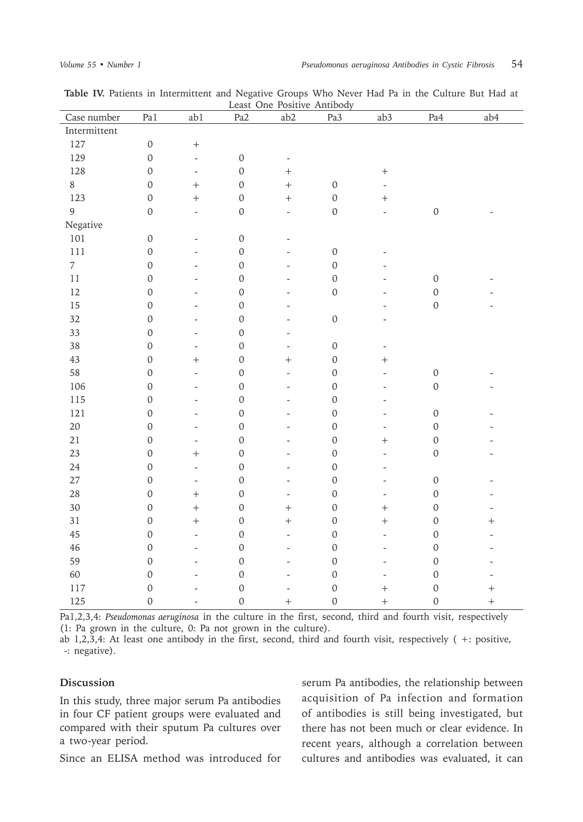| Case number    | Pa1              | ab1                      | Pa <sub>2</sub>  | ab2                      | Pa3              | ab <sub>3</sub>          | Pa4         | ab4            |
|----------------|------------------|--------------------------|------------------|--------------------------|------------------|--------------------------|-------------|----------------|
| Intermittent   |                  |                          |                  |                          |                  |                          |             |                |
| 127            | $\mbox{O}$       | $\boldsymbol{+}$         |                  |                          |                  |                          |             |                |
| 129            | $\mathbf 0$      | $\overline{\phantom{a}}$ | $\mbox{O}$       | $\overline{\phantom{a}}$ |                  |                          |             |                |
| 128            | $\mathbf 0$      | $\overline{\phantom{a}}$ | $\mathbf 0$      | $+$                      |                  | $\boldsymbol{+}$         |             |                |
| $\,8\,$        | $\mathbf 0$      | $^{+}$                   | $\mathbf 0$      | $\ddot{}$                | $\mbox{O}$       | $\overline{\phantom{a}}$ |             |                |
| 123            | $\mbox{O}$       | $^{+}$                   | $\mbox{O}$       | $\ddot{}$                | $\mbox{O}$       | $\! + \!$                |             |                |
| 9              | $\mbox{O}$       | $\overline{\phantom{a}}$ | $\mathbf 0$      | $\overline{\phantom{a}}$ | $\mbox{O}$       | $\overline{\phantom{a}}$ | $\mathbf 0$ |                |
| Negative       |                  |                          |                  |                          |                  |                          |             |                |
| 101            | $\mbox{O}$       | $\overline{\phantom{a}}$ | $\mbox{O}$       | $\overline{\phantom{0}}$ |                  |                          |             |                |
| 111            | $\boldsymbol{0}$ | $\overline{\phantom{a}}$ | $\mbox{O}$       | $\overline{\phantom{0}}$ | $\mbox{O}$       |                          |             |                |
| $\overline{7}$ | $\boldsymbol{0}$ | $\overline{\phantom{a}}$ | $\boldsymbol{0}$ | $\frac{1}{2}$            | $\mathbf 0$      |                          |             |                |
| 11             | $\mathbf 0$      | $\frac{1}{2}$            | $\mathbf 0$      | $\frac{1}{2}$            | $\mathbf 0$      | $\overline{\phantom{0}}$ | $\mathbf 0$ |                |
| 12             | $\mathbf 0$      | $\frac{1}{2}$            | $\mathbf 0$      | $\frac{1}{2}$            | $\mathbf 0$      | $\overline{a}$           | $\mathbf 0$ |                |
| 15             | $\mathbf 0$      | $\frac{1}{2}$            | $\mathbf 0$      | $\frac{1}{2}$            |                  | $\overline{a}$           | $\mathbf 0$ | $\overline{a}$ |
| 32             | $\boldsymbol{0}$ | $\overline{\phantom{a}}$ | $\mathbf 0$      | $\frac{1}{2}$            | $\mathbf 0$      | $\overline{\phantom{a}}$ |             |                |
| 33             | $\mathbf 0$      | $\overline{\phantom{a}}$ | $\mathbf 0$      | $\frac{1}{2}$            |                  |                          |             |                |
| 38             | $\mathbf 0$      | $\overline{\phantom{a}}$ | $\mathbf 0$      | $\overline{\phantom{a}}$ | $\mbox{O}$       | $\overline{\phantom{a}}$ |             |                |
| 43             | $\mathbf 0$      | $^{+}$                   | $\mathbf 0$      | $^{+}$                   | $\mathbf 0$      | $\boldsymbol{+}$         |             |                |
| 58             | $\mathbf 0$      | $\overline{\phantom{a}}$ | $\mathbf 0$      | $\frac{1}{2}$            | $\mathbf 0$      | $\overline{\phantom{0}}$ | $\mathbf 0$ |                |
| 106            | $\mathbf 0$      | $\frac{1}{2}$            | $\mathbf 0$      | $\frac{1}{2}$            | $\mathbf 0$      | $\overline{\phantom{a}}$ | $\mathbf 0$ |                |
| 115            | $\mathbf 0$      | $\overline{\phantom{a}}$ | $\mathbf 0$      | $\frac{1}{2}$            | $\mathbf 0$      | $\overline{a}$           |             |                |
| 121            | $\mathbf 0$      | $\frac{1}{2}$            | $\boldsymbol{0}$ | $\overline{a}$           | $\mathbf 0$      | $\overline{\phantom{a}}$ | $\mbox{O}$  |                |
| 20             | $\mathbf 0$      | $\frac{1}{2}$            | $\mathbf 0$      | $\overline{a}$           | $\mathbf 0$      | $\overline{\phantom{a}}$ | $\mathbf 0$ |                |
| 21             | $\boldsymbol{0}$ | $\overline{\phantom{a}}$ | $\mathbf 0$      | $\overline{a}$           | $\mathbf 0$      | $\ddot{}$                | $\mathbf 0$ |                |
| 23             | $\boldsymbol{0}$ | $^{+}$                   | $\boldsymbol{0}$ | $\overline{\phantom{0}}$ | $\mathbf 0$      | $\overline{\phantom{a}}$ | $\mathbf 0$ |                |
| 24             | $\mathbf 0$      | $\overline{\phantom{a}}$ | $\boldsymbol{0}$ | $\overline{\phantom{a}}$ | $\boldsymbol{0}$ | $\overline{\phantom{a}}$ |             |                |
| 27             | $\boldsymbol{0}$ | $\overline{\phantom{a}}$ | $\boldsymbol{0}$ | $\overline{\phantom{a}}$ | $\mathbf 0$      | $\overline{\phantom{a}}$ | $\mbox{O}$  | $\overline{a}$ |
| 28             | $\boldsymbol{0}$ | $^{+}$                   | $\mathbf 0$      | $\overline{\phantom{a}}$ | $\boldsymbol{0}$ | $\overline{\phantom{a}}$ | $\mbox{O}$  | $\overline{a}$ |
| 30             | $\mathbf 0$      | $\ddot{}$                | $\boldsymbol{0}$ | $\ddot{}$                | $\boldsymbol{0}$ | $^{+}$                   | $\mbox{O}$  | $\overline{a}$ |
| 31             | $\boldsymbol{0}$ | $\ddot{}$                | $\boldsymbol{0}$ | $\ddot{}$                | $\boldsymbol{0}$ | $^{+}$                   | $\mbox{O}$  | $\! +$         |
| 45             | $\mathbf 0$      | $\overline{\phantom{a}}$ | $\boldsymbol{0}$ | $\frac{1}{2}$            | $\mathbf 0$      | $\overline{\phantom{a}}$ | $\mbox{O}$  | $\overline{a}$ |
| 46             | $\mathbf 0$      | $\overline{\phantom{a}}$ | $\mathbf 0$      | $\overline{\phantom{a}}$ | $\mathbf 0$      | $\overline{\phantom{a}}$ | $\mbox{O}$  | $\overline{a}$ |
| 59             | $\boldsymbol{0}$ | $\overline{\phantom{a}}$ | $\boldsymbol{0}$ | $\overline{\phantom{a}}$ | $\boldsymbol{0}$ | $\overline{\phantom{a}}$ | $\mbox{O}$  | $\overline{a}$ |
| 60             | $\mathbf 0$      | $\overline{\phantom{a}}$ | $\boldsymbol{0}$ | $\overline{\phantom{a}}$ | $\boldsymbol{0}$ | $\overline{\phantom{a}}$ | $\mbox{O}$  | $\overline{a}$ |
| 117            | $\mathbf{0}$     | $\overline{a}$           | $\mathbf 0$      | $\overline{\phantom{0}}$ | $\mathbf 0$      | $^{+}$                   | $\mathbf 0$ | $\ddot{}$      |
| 125            | $\mathbf 0$      | $\overline{\phantom{a}}$ | $\mathbf{O}$     | $^{+}$                   | $\mathbf 0$      | $+$                      | $\mathbf 0$ | $\ddot{}$      |

**Table IV.** Patients in Intermittent and Negative Groups Who Never Had Pa in the Culture But Had at Least One Positive Antibody

Pa1,2,3,4: *Pseudomonas aeruginosa* in the culture in the first, second, third and fourth visit, respectively (1: Pa grown in the culture, 0: Pa not grown in the culture).

ab 1,2,3,4: At least one antibody in the first, second, third and fourth visit, respectively ( +: positive, -: negative).

#### **Discussion**

In this study, three major serum Pa antibodies in four CF patient groups were evaluated and compared with their sputum Pa cultures over a two-year period.

Since an ELISA method was introduced for

serum Pa antibodies, the relationship between acquisition of Pa infection and formation of antibodies is still being investigated, but there has not been much or clear evidence. In recent years, although a correlation between cultures and antibodies was evaluated, it can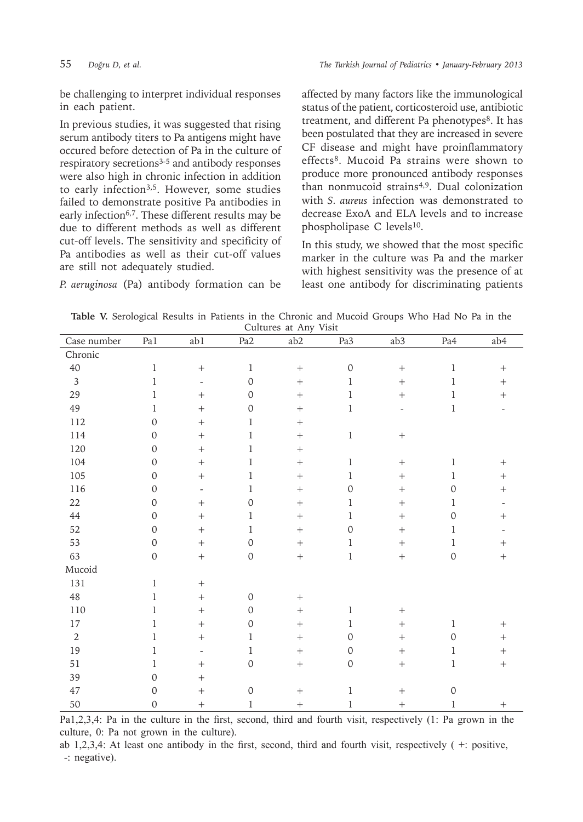be challenging to interpret individual responses in each patient.

In previous studies, it was suggested that rising serum antibody titers to Pa antigens might have occured before detection of Pa in the culture of respiratory secretions<sup>3-5</sup> and antibody responses were also high in chronic infection in addition to early infection<sup>3,5</sup>. However, some studies failed to demonstrate positive Pa antibodies in early infection<sup>6,7</sup>. These different results may be due to different methods as well as different cut-off levels. The sensitivity and specificity of Pa antibodies as well as their cut-off values are still not adequately studied.

affected by many factors like the immunological status of the patient, corticosteroid use, antibiotic treatment, and different Pa phenotypes<sup>8</sup>. It has been postulated that they are increased in severe CF disease and might have proinflammatory effects8. Mucoid Pa strains were shown to produce more pronounced antibody responses than nonmucoid strains4,9. Dual colonization with *S. aureus* infection was demonstrated to decrease ExoA and ELA levels and to increase phospholipase C levels<sup>10</sup>.

In this study, we showed that the most specific marker in the culture was Pa and the marker with highest sensitivity was the presence of at least one antibody for discriminating patients

*P. aeruginosa* (Pa) antibody formation can be

**Table V.** Serological Results in Patients in the Chronic and Mucoid Groups Who Had No Pa in the Cultures at Any Visit

| Case number    | Pa1          | ab1                      | Pa <sub>2</sub>  | ab2               | Pa3              | ab3            | Pa4          | ab4              |
|----------------|--------------|--------------------------|------------------|-------------------|------------------|----------------|--------------|------------------|
| Chronic        |              |                          |                  |                   |                  |                |              |                  |
| 40             | $\mathbf 1$  | $+$                      | $\mathbf 1$      | $+$               | $\mathbf 0$      | $^{+}$         | $\,1$        | $^{+}$           |
| $\overline{3}$ | 1            | $\overline{\phantom{a}}$ | $\boldsymbol{0}$ |                   | $\mathbf{1}$     | $^{+}$         | 1            | $\boldsymbol{+}$ |
| 29             | 1            | $+$                      | $\boldsymbol{0}$ | $+$               | $\mathbf{1}$     | $+$            | 1            | $+$              |
| 49             | $\mathbf{1}$ | $+$                      | $\boldsymbol{0}$ | $+$               | $\mathbf{1}$     | $\overline{a}$ | $\mathbf 1$  |                  |
| 112            | $\Omega$     | $+$                      | $\mathbf{1}$     | $+$               |                  |                |              |                  |
| 114            | $\mathbf 0$  | $+$                      | $\mathbf{1}$     | $+$               | $\mathbf 1$      | $\! + \!$      |              |                  |
| 120            | $\mathbf 0$  | $+$                      | $\mathbf{1}$     | $+$               |                  |                |              |                  |
| 104            | $\mathbf 0$  | $+$                      | $\mathbf{1}$     | $+$               | $\mathbf{1}$     | $^{+}$         | $\mathbf 1$  | $^{+}$           |
| 105            | $\mathbf 0$  | $+$                      | $\mathbf{1}$     |                   | $\mathbf{1}$     | $^{+}$         | $\mathbf 1$  | $\boldsymbol{+}$ |
| 116            | $\mathbf 0$  | $\overline{a}$           | $\mathbf{1}$     | $+$               | $\boldsymbol{0}$ | $^{+}$         | $\mathbf 0$  |                  |
| 22             | $\mathbf 0$  | $+$                      | $\boldsymbol{0}$ | $+$               | $\mathbf{1}$     | $+$            | 1            |                  |
| $\rm 44$       | $\mathbf 0$  | $+$                      | $\mathbf{1}$     | $+$               | $\mathbf{1}$     | $^{+}$         | $\mathbf 0$  | $^{+}$           |
| 52             | $\Omega$     | $\ddot{}$                | $\mathbf{1}$     | $^{+}$            | $\mathbf{0}$     | $^{+}$         | 1            |                  |
| 53             | $\mathbf 0$  | $+$                      | $\boldsymbol{0}$ | $+$               | $\mathbf{1}$     | $+$            | 1            | $^{+}$           |
| 63             | $\mathbf 0$  | $+$                      | $\mathbf 0$      | $\boldsymbol{+}$  | $\mathbf 1$      | $\! + \!$      | $\mathbf 0$  | $\ddot{}$        |
| Mucoid         |              |                          |                  |                   |                  |                |              |                  |
| 131            | $\mathbf 1$  | $+$                      |                  |                   |                  |                |              |                  |
| $48\,$         | 1            | $\ddot{}$                | $\mathbf 0$      | $\boldsymbol{+}$  |                  |                |              |                  |
| 110            | 1            | $\ddot{}$                | $\boldsymbol{0}$ | $\qquad \qquad +$ | $\mathbf 1$      | $^{+}$         |              |                  |
| $17\,$         | 1            | $+$                      | $\Omega$         | $^{+}$            | $\mathbf{1}$     | $^{+}$         | 1            | $^{+}$           |
| $\overline{2}$ | 1            | $+$                      | $\mathbf{1}$     | $\qquad \qquad +$ | $\boldsymbol{0}$ | $^{+}$         | $\mathbf 0$  | $\! +$           |
| 19             | 1            | $\overline{\phantom{a}}$ | $\mathbf{1}$     | $\qquad \qquad +$ | $\boldsymbol{0}$ | $^{+}$         | 1            | $\ddot{}$        |
| 51             | 1            | $^{+}$                   | $\mathbf 0$      | $\boldsymbol{+}$  | $\mathbf 0$      |                | $\mathbf 1$  | $\boldsymbol{+}$ |
| 39             | $\mathbf 0$  | $+$                      |                  |                   |                  |                |              |                  |
| 47             | $\mathbf 0$  | $+$                      | $\boldsymbol{0}$ | $^{+}$            | $\mathbf{1}$     | $^{+}$         | $\mathbf{0}$ |                  |
| 50             | $\mathbf 0$  | $\! +$                   | $\mathbf{1}$     | $\boldsymbol{+}$  | 1                |                | 1            | $+$              |

Pa1,2,3,4: Pa in the culture in the first, second, third and fourth visit, respectively (1: Pa grown in the culture, 0: Pa not grown in the culture).

ab 1,2,3,4: At least one antibody in the first, second, third and fourth visit, respectively ( +: positive, -: negative).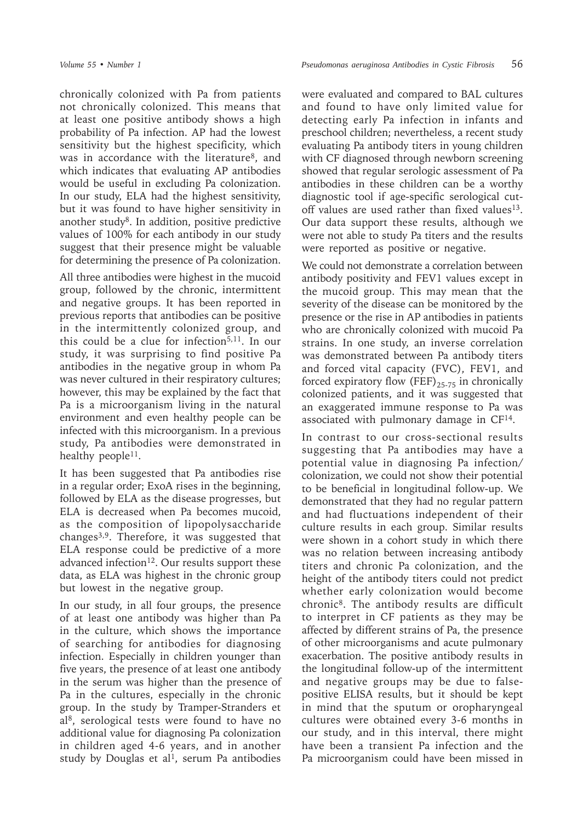chronically colonized with Pa from patients not chronically colonized. This means that at least one positive antibody shows a high probability of Pa infection. AP had the lowest sensitivity but the highest specificity, which was in accordance with the literature<sup>8</sup>, and which indicates that evaluating AP antibodies would be useful in excluding Pa colonization. In our study, ELA had the highest sensitivity, but it was found to have higher sensitivity in another study $8$ . In addition, positive predictive values of 100% for each antibody in our study suggest that their presence might be valuable for determining the presence of Pa colonization.

All three antibodies were highest in the mucoid group, followed by the chronic, intermittent and negative groups. It has been reported in previous reports that antibodies can be positive in the intermittently colonized group, and this could be a clue for infection<sup>5,11</sup>. In our study, it was surprising to find positive Pa antibodies in the negative group in whom Pa was never cultured in their respiratory cultures; however, this may be explained by the fact that Pa is a microorganism living in the natural environment and even healthy people can be infected with this microorganism. In a previous study, Pa antibodies were demonstrated in healthy people<sup>11</sup>.

It has been suggested that Pa antibodies rise in a regular order; ExoA rises in the beginning, followed by ELA as the disease progresses, but ELA is decreased when Pa becomes mucoid, as the composition of lipopolysaccharide changes3,9. Therefore, it was suggested that ELA response could be predictive of a more advanced infection<sup>12</sup>. Our results support these data, as ELA was highest in the chronic group but lowest in the negative group.

In our study, in all four groups, the presence of at least one antibody was higher than Pa in the culture, which shows the importance of searching for antibodies for diagnosing infection. Especially in children younger than five years, the presence of at least one antibody in the serum was higher than the presence of Pa in the cultures, especially in the chronic group. In the study by Tramper-Stranders et al<sup>8</sup>, serological tests were found to have no additional value for diagnosing Pa colonization in children aged 4-6 years, and in another study by Douglas et al<sup>1</sup>, serum Pa antibodies

were evaluated and compared to BAL cultures and found to have only limited value for detecting early Pa infection in infants and preschool children; nevertheless, a recent study evaluating Pa antibody titers in young children with CF diagnosed through newborn screening showed that regular serologic assessment of Pa antibodies in these children can be a worthy diagnostic tool if age-specific serological cutoff values are used rather than fixed values<sup>13</sup>. Our data support these results, although we were not able to study Pa titers and the results were reported as positive or negative.

We could not demonstrate a correlation between antibody positivity and FEV1 values except in the mucoid group. This may mean that the severity of the disease can be monitored by the presence or the rise in AP antibodies in patients who are chronically colonized with mucoid Pa strains. In one study, an inverse correlation was demonstrated between Pa antibody titers and forced vital capacity (FVC), FEV1, and forced expiratory flow  $(FEF)_{25-75}$  in chronically colonized patients, and it was suggested that an exaggerated immune response to Pa was associated with pulmonary damage in CF14.

In contrast to our cross-sectional results suggesting that Pa antibodies may have a potential value in diagnosing Pa infection/ colonization, we could not show their potential to be beneficial in longitudinal follow-up. We demonstrated that they had no regular pattern and had fluctuations independent of their culture results in each group. Similar results were shown in a cohort study in which there was no relation between increasing antibody titers and chronic Pa colonization, and the height of the antibody titers could not predict whether early colonization would become chronic8. The antibody results are difficult to interpret in CF patients as they may be affected by different strains of Pa, the presence of other microorganisms and acute pulmonary exacerbation. The positive antibody results in the longitudinal follow-up of the intermittent and negative groups may be due to falsepositive ELISA results, but it should be kept in mind that the sputum or oropharyngeal cultures were obtained every 3-6 months in our study, and in this interval, there might have been a transient Pa infection and the Pa microorganism could have been missed in